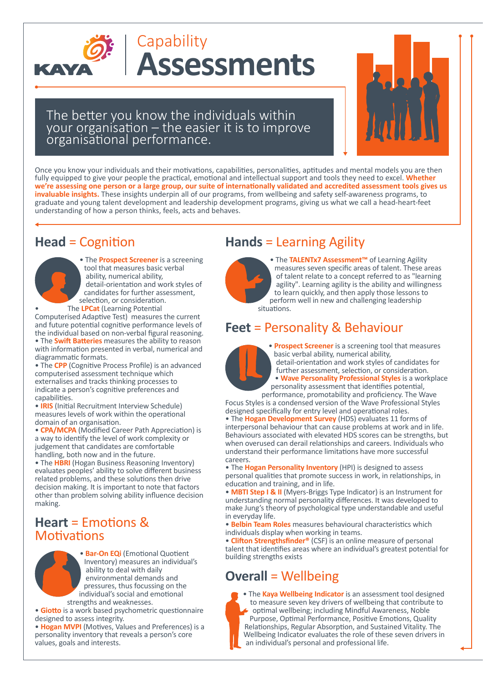

### **Assessments Capability**

The better you know the individuals within your organisation – the easier it is to improve organisa�onal performance.



Once you know your individuals and their motivations, capabilities, personalities, aptitudes and mental models you are then fully equipped to give your people the practical, emotional and intellectual support and tools they need to excel. Whether we're assessing one person or a large group, our suite of internationally validated and accredited assessment tools gives us **invaluable insights.** These insights underpin all of our programs, from wellbeing and safety self-awareness programs, to graduate and young talent development and leadership development programs, giving us what we call a head-heart-feet understanding of how a person thinks, feels, acts and behaves.

### **Head** = Cognition



• The **Prospect Screener** is a screening tool that measures basic verbal ability, numerical ability, detail-orientation and work styles of candidates for further assessment, selection, or consideration.

The **LPCat** (Learning Potential

Computerised Adaptive Test) measures the current and future potential cognitive performance levels of the individual based on non-verbal figural reasoning. • The **Swift Batteries** measures the ability to reason with information presented in verbal, numerical and diagramma�c formats.

- The **CPP** (Cognitive Process Profile) is an advanced computerised assessment technique which externalises and tracks thinking processes to indicate a person's cognitive preferences and capabili�es.
- **IRIS** (Ini�al Recruitment Interview Schedule) measures levels of work within the operational domain of an organisation.
- **CPA/MCPA** (Modified Career Path Appreciation) is a way to identify the level of work complexity or judgement that candidates are comfortable handling, both now and in the future.

• The **HBRI** (Hogan Business Reasoning Inventory) evaluates peoples' ability to solve different business related problems, and these solutions then drive decision making. It is important to note that factors other than problem solving ability influence decision making.

#### **Heart** = Emotions & Motivations



• **Giotto** is a work based psychometric questionnaire designed to assess integrity.

• Hogan MVPI (Motives, Values and Preferences) is a personality inventory that reveals a person's core values, goals and interests.

### **Hands** = Learning Agility



• The **TALENTx7 Assessment™** of Learning Agility measures seven specific areas of talent. These areas of talent relate to a concept referred to as "learning agility". Learning agility is the ability and willingness to learn quickly, and then apply those lessons to perform well in new and challenging leadership situations.

#### **Feet** = Personality & Behaviour



• **Prospect Screener** is a screening tool that measures basic verbal ability, numerical ability, detail-orientation and work styles of candidates for further assessment, selection, or consideration.

• **Wave Personality Professional Styles** is a workplace personality assessment that identifies potential,

performance, promotability and proficiency. The Wave Focus Styles is a condensed version of the Wave Professional Styles designed specifically for entry level and operational roles. • The **Hogan Development Survey** (HDS) evaluates 11 forms of interpersonal behaviour that can cause problems at work and in life. Behaviours associated with elevated HDS scores can be strengths, but when overused can derail relationships and careers. Individuals who understand their performance limitations have more successful

careers. • The **Hogan Personality Inventory** (HPI) is designed to assess personal qualities that promote success in work, in relationships, in education and training, and in life.

• **MBTI Step I & II** (Myers-Briggs Type Indicator) is an Instrument for understanding normal personality differences. It was developed to make Jung's theory of psychological type understandable and useful in everyday life.

**• Belbin Team Roles** measures behavioural characteristics which individuals display when working in teams.

• **Clifton Strengthsfinder<sup>®</sup>** (CSF) is an online measure of personal talent that identifies areas where an individual's greatest potential for building strengths exists

### **Overall** = Wellbeing

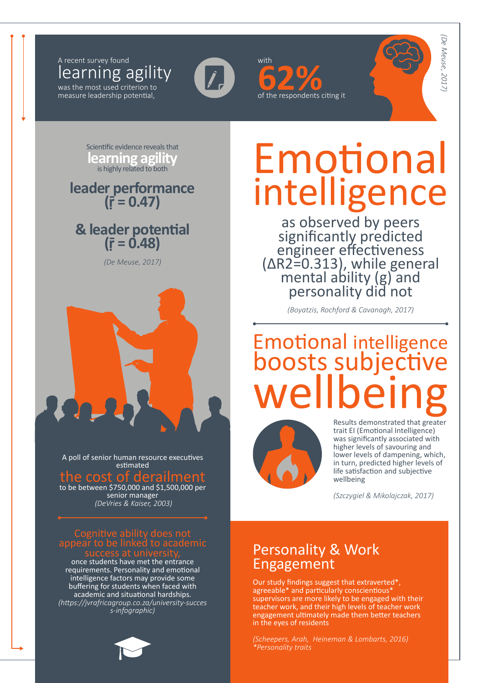learning agility A recent survey found with the state of the state with with was the most used criterion to

measure leadership potential,



of the respondents citing it

*(De Meuse, 2017)* De Meuse, 2017)

Scientific evidence reveals that **learning agility**<br>is highly related to both

**leader performance (ṝ = 0.47)**

## **& leader poten�al (ṝ = 0.48)**

*(De Meuse, 2017)*



A poll of senior human resource executives estimated the cost of derailment to be between \$750,000 and \$1,500,000 per

senior manager  *(DeVries & Kaiser, 2003)*

### Cogni�ve ability does not appear to be linked to academic

once students have met the entrance requirements. Personality and emotional intelligence factors may provide some buffering for students when faced with academic and situational hardships. *(https://jvrafricagroup.co.za/university-succes s-infographic)*

# Emotional intelligence

as observed by peers significantly predicted engineer effectiveness<br>(ΔR2=0.313), while general<br>mental ability (g) and personality did not

*(Boyatzis, Rochford & Cavanagh, 2017)*

## **Emotional intelligence** boosts subjective wellbeing



Results demonstrated that greater trait EI (Emotional Intelligence) was significantly associated with higher levels of savouring and lower levels of dampening, which, in turn, predicted higher levels of life satisfaction and subjective wellbeing

*(Szczygiel & Mikolajczak, 2017)*

### Personality & Work Engagement

Our study findings suggest that extraverted\*, agreeable\* and particularly conscientious\* supervisors are more likely to be engaged with their teacher work, and their high levels of teacher work engagement ultimately made them better teachers in the eyes of residents

*(Scheepers, Arah, Heineman & Lombarts, 2016) \*Personality traits*